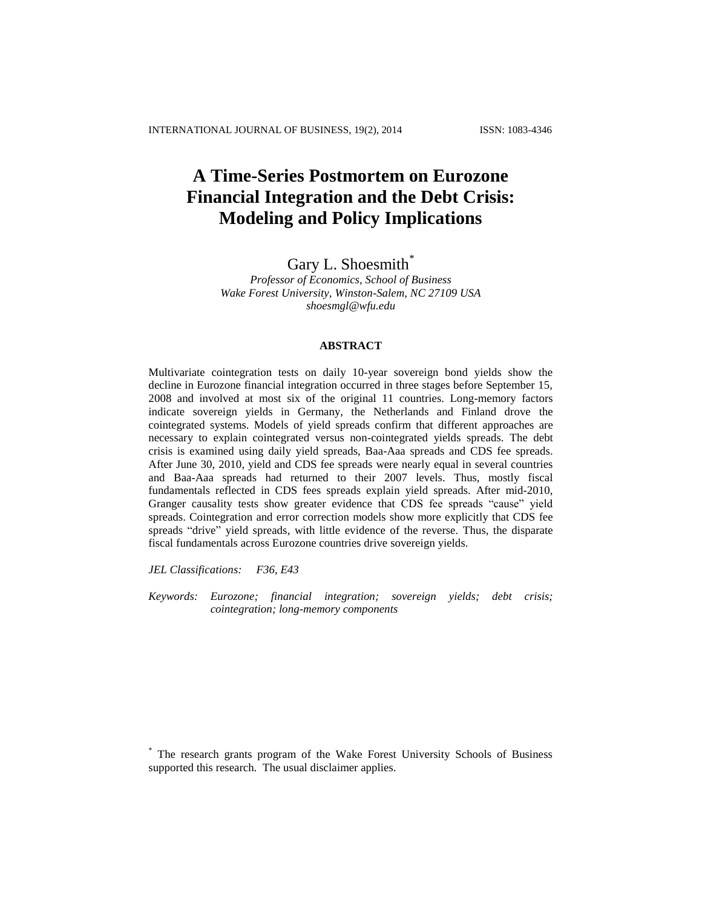# **A Time-Series Postmortem on Eurozone Financial Integration and the Debt Crisis: Modeling and Policy Implications**

# Gary L. Shoesmith\*

*Professor of Economics, School of Business Wake Forest University, Winston-Salem, NC 27109 USA shoesmgl@wfu.edu*

# **ABSTRACT**

Multivariate cointegration tests on daily 10-year sovereign bond yields show the decline in Eurozone financial integration occurred in three stages before September 15, 2008 and involved at most six of the original 11 countries. Long-memory factors indicate sovereign yields in Germany, the Netherlands and Finland drove the cointegrated systems. Models of yield spreads confirm that different approaches are necessary to explain cointegrated versus non-cointegrated yields spreads. The debt crisis is examined using daily yield spreads, Baa-Aaa spreads and CDS fee spreads. After June 30, 2010, yield and CDS fee spreads were nearly equal in several countries and Baa-Aaa spreads had returned to their 2007 levels. Thus, mostly fiscal fundamentals reflected in CDS fees spreads explain yield spreads. After mid-2010, Granger causality tests show greater evidence that CDS fee spreads "cause" yield spreads. Cointegration and error correction models show more explicitly that CDS fee spreads "drive" yield spreads, with little evidence of the reverse. Thus, the disparate fiscal fundamentals across Eurozone countries drive sovereign yields.

*JEL Classifications: F36, E43*

*Keywords: Eurozone; financial integration; sovereign yields; debt crisis; cointegration; long-memory components*

\* The research grants program of the Wake Forest University Schools of Business supported this research. The usual disclaimer applies.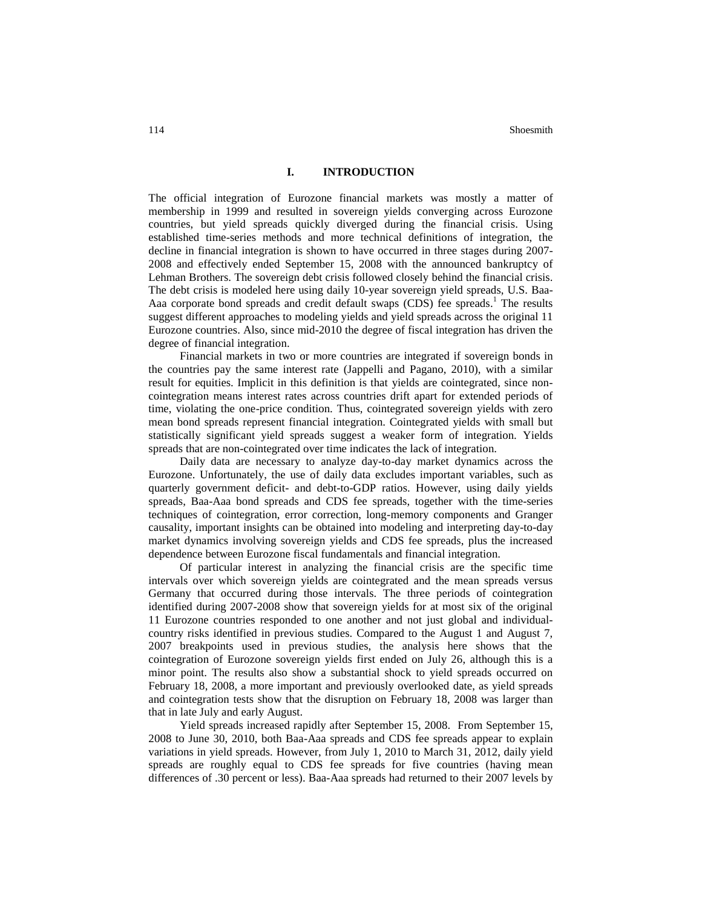# **I. INTRODUCTION**

The official integration of Eurozone financial markets was mostly a matter of membership in 1999 and resulted in sovereign yields converging across Eurozone countries, but yield spreads quickly diverged during the financial crisis. Using established time-series methods and more technical definitions of integration, the decline in financial integration is shown to have occurred in three stages during 2007- 2008 and effectively ended September 15, 2008 with the announced bankruptcy of Lehman Brothers. The sovereign debt crisis followed closely behind the financial crisis. The debt crisis is modeled here using daily 10-year sovereign yield spreads, U.S. Baa-Aaa corporate bond spreads and credit default swaps (CDS) fee spreads. <sup>1</sup> The results suggest different approaches to modeling yields and yield spreads across the original 11 Eurozone countries. Also, since mid-2010 the degree of fiscal integration has driven the degree of financial integration.

Financial markets in two or more countries are integrated if sovereign bonds in the countries pay the same interest rate (Jappelli and Pagano, 2010), with a similar result for equities. Implicit in this definition is that yields are cointegrated, since noncointegration means interest rates across countries drift apart for extended periods of time, violating the one-price condition. Thus, cointegrated sovereign yields with zero mean bond spreads represent financial integration. Cointegrated yields with small but statistically significant yield spreads suggest a weaker form of integration. Yields spreads that are non-cointegrated over time indicates the lack of integration.

Daily data are necessary to analyze day-to-day market dynamics across the Eurozone. Unfortunately, the use of daily data excludes important variables, such as quarterly government deficit- and debt-to-GDP ratios. However, using daily yields spreads, Baa-Aaa bond spreads and CDS fee spreads, together with the time-series techniques of cointegration, error correction, long-memory components and Granger causality, important insights can be obtained into modeling and interpreting day-to-day market dynamics involving sovereign yields and CDS fee spreads, plus the increased dependence between Eurozone fiscal fundamentals and financial integration.

Of particular interest in analyzing the financial crisis are the specific time intervals over which sovereign yields are cointegrated and the mean spreads versus Germany that occurred during those intervals. The three periods of cointegration identified during 2007-2008 show that sovereign yields for at most six of the original 11 Eurozone countries responded to one another and not just global and individualcountry risks identified in previous studies. Compared to the August 1 and August 7, 2007 breakpoints used in previous studies, the analysis here shows that the cointegration of Eurozone sovereign yields first ended on July 26, although this is a minor point. The results also show a substantial shock to yield spreads occurred on February 18, 2008, a more important and previously overlooked date, as yield spreads and cointegration tests show that the disruption on February 18, 2008 was larger than that in late July and early August.

Yield spreads increased rapidly after September 15, 2008. From September 15, 2008 to June 30, 2010, both Baa-Aaa spreads and CDS fee spreads appear to explain variations in yield spreads. However, from July 1, 2010 to March 31, 2012, daily yield spreads are roughly equal to CDS fee spreads for five countries (having mean differences of .30 percent or less). Baa-Aaa spreads had returned to their 2007 levels by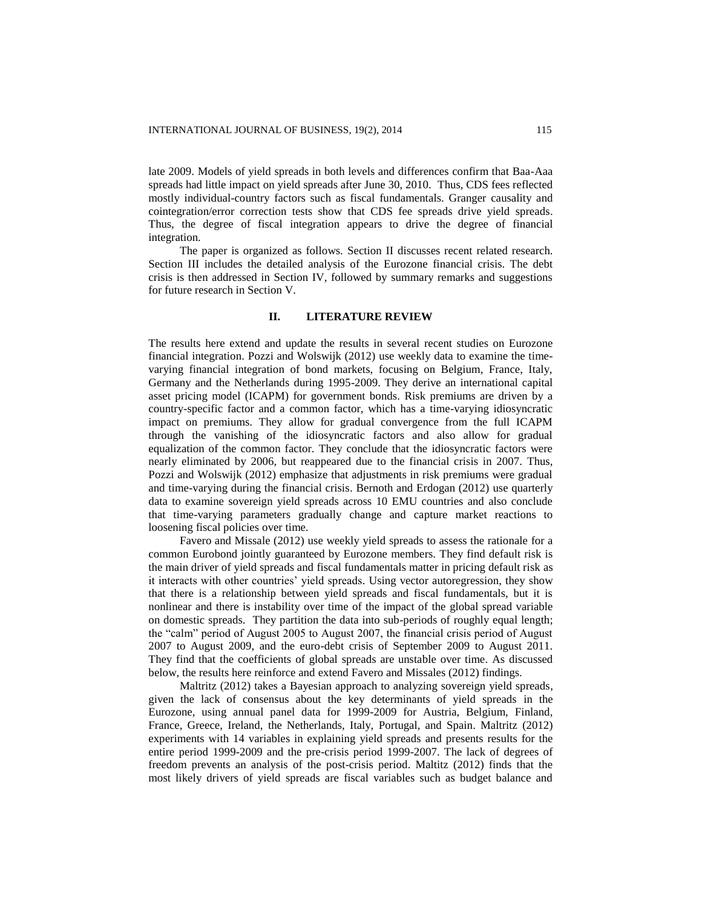late 2009. Models of yield spreads in both levels and differences confirm that Baa-Aaa spreads had little impact on yield spreads after June 30, 2010. Thus, CDS fees reflected mostly individual-country factors such as fiscal fundamentals. Granger causality and cointegration/error correction tests show that CDS fee spreads drive yield spreads. Thus, the degree of fiscal integration appears to drive the degree of financial integration.

The paper is organized as follows. Section II discusses recent related research. Section III includes the detailed analysis of the Eurozone financial crisis. The debt crisis is then addressed in Section IV, followed by summary remarks and suggestions for future research in Section V.

#### **II. LITERATURE REVIEW**

The results here extend and update the results in several recent studies on Eurozone financial integration. Pozzi and Wolswijk (2012) use weekly data to examine the timevarying financial integration of bond markets, focusing on Belgium, France, Italy, Germany and the Netherlands during 1995-2009. They derive an international capital asset pricing model (ICAPM) for government bonds. Risk premiums are driven by a country-specific factor and a common factor, which has a time-varying idiosyncratic impact on premiums. They allow for gradual convergence from the full ICAPM through the vanishing of the idiosyncratic factors and also allow for gradual equalization of the common factor. They conclude that the idiosyncratic factors were nearly eliminated by 2006, but reappeared due to the financial crisis in 2007. Thus, Pozzi and Wolswijk (2012) emphasize that adjustments in risk premiums were gradual and time-varying during the financial crisis. Bernoth and Erdogan (2012) use quarterly data to examine sovereign yield spreads across 10 EMU countries and also conclude that time-varying parameters gradually change and capture market reactions to loosening fiscal policies over time.

Favero and Missale (2012) use weekly yield spreads to assess the rationale for a common Eurobond jointly guaranteed by Eurozone members. They find default risk is the main driver of yield spreads and fiscal fundamentals matter in pricing default risk as it interacts with other countries' yield spreads. Using vector autoregression, they show that there is a relationship between yield spreads and fiscal fundamentals, but it is nonlinear and there is instability over time of the impact of the global spread variable on domestic spreads. They partition the data into sub-periods of roughly equal length; the "calm" period of August 2005 to August 2007, the financial crisis period of August 2007 to August 2009, and the euro-debt crisis of September 2009 to August 2011. They find that the coefficients of global spreads are unstable over time. As discussed below, the results here reinforce and extend Favero and Missales (2012) findings.

Maltritz (2012) takes a Bayesian approach to analyzing sovereign yield spreads, given the lack of consensus about the key determinants of yield spreads in the Eurozone, using annual panel data for 1999-2009 for Austria, Belgium, Finland, France, Greece, Ireland, the Netherlands, Italy, Portugal, and Spain. Maltritz (2012) experiments with 14 variables in explaining yield spreads and presents results for the entire period 1999-2009 and the pre-crisis period 1999-2007. The lack of degrees of freedom prevents an analysis of the post-crisis period. Maltitz (2012) finds that the most likely drivers of yield spreads are fiscal variables such as budget balance and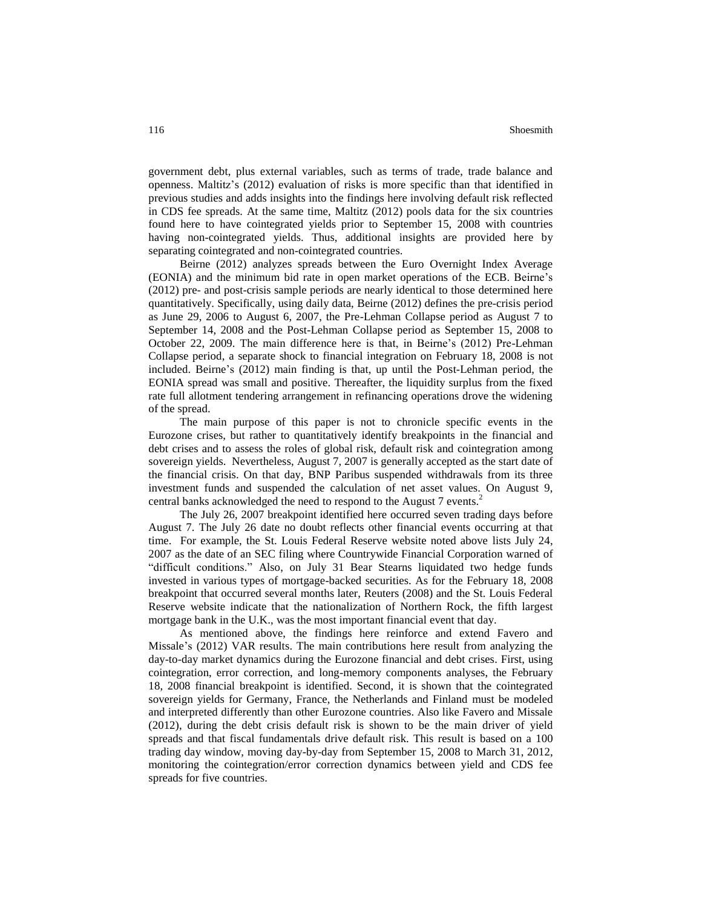government debt, plus external variables, such as terms of trade, trade balance and openness. Maltitz's (2012) evaluation of risks is more specific than that identified in previous studies and adds insights into the findings here involving default risk reflected in CDS fee spreads. At the same time, Maltitz (2012) pools data for the six countries found here to have cointegrated yields prior to September 15, 2008 with countries having non-cointegrated yields. Thus, additional insights are provided here by separating cointegrated and non-cointegrated countries.

Beirne (2012) analyzes spreads between the Euro Overnight Index Average (EONIA) and the minimum bid rate in open market operations of the ECB. Beirne's (2012) pre- and post-crisis sample periods are nearly identical to those determined here quantitatively. Specifically, using daily data, Beirne (2012) defines the pre-crisis period as June 29, 2006 to August 6, 2007, the Pre-Lehman Collapse period as August 7 to September 14, 2008 and the Post-Lehman Collapse period as September 15, 2008 to October 22, 2009. The main difference here is that, in Beirne's (2012) Pre-Lehman Collapse period, a separate shock to financial integration on February 18, 2008 is not included. Beirne's (2012) main finding is that, up until the Post-Lehman period, the EONIA spread was small and positive. Thereafter, the liquidity surplus from the fixed rate full allotment tendering arrangement in refinancing operations drove the widening of the spread.

The main purpose of this paper is not to chronicle specific events in the Eurozone crises, but rather to quantitatively identify breakpoints in the financial and debt crises and to assess the roles of global risk, default risk and cointegration among sovereign yields. Nevertheless, August 7, 2007 is generally accepted as the start date of the financial crisis. On that day, BNP Paribus suspended withdrawals from its three investment funds and suspended the calculation of net asset values. On August 9, central banks acknowledged the need to respond to the August 7 events.<sup>2</sup>

The July 26, 2007 breakpoint identified here occurred seven trading days before August 7. The July 26 date no doubt reflects other financial events occurring at that time. For example, the St. Louis Federal Reserve website noted above lists July 24, 2007 as the date of an SEC filing where Countrywide Financial Corporation warned of "difficult conditions." Also, on July 31 Bear Stearns liquidated two hedge funds invested in various types of mortgage-backed securities. As for the February 18, 2008 breakpoint that occurred several months later, Reuters (2008) and the St. Louis Federal Reserve website indicate that the nationalization of Northern Rock, the fifth largest mortgage bank in the U.K., was the most important financial event that day.

As mentioned above, the findings here reinforce and extend Favero and Missale's (2012) VAR results. The main contributions here result from analyzing the day-to-day market dynamics during the Eurozone financial and debt crises. First, using cointegration, error correction, and long-memory components analyses, the February 18, 2008 financial breakpoint is identified. Second, it is shown that the cointegrated sovereign yields for Germany, France, the Netherlands and Finland must be modeled and interpreted differently than other Eurozone countries. Also like Favero and Missale (2012), during the debt crisis default risk is shown to be the main driver of yield spreads and that fiscal fundamentals drive default risk. This result is based on a 100 trading day window, moving day-by-day from September 15, 2008 to March 31, 2012, monitoring the cointegration/error correction dynamics between yield and CDS fee spreads for five countries.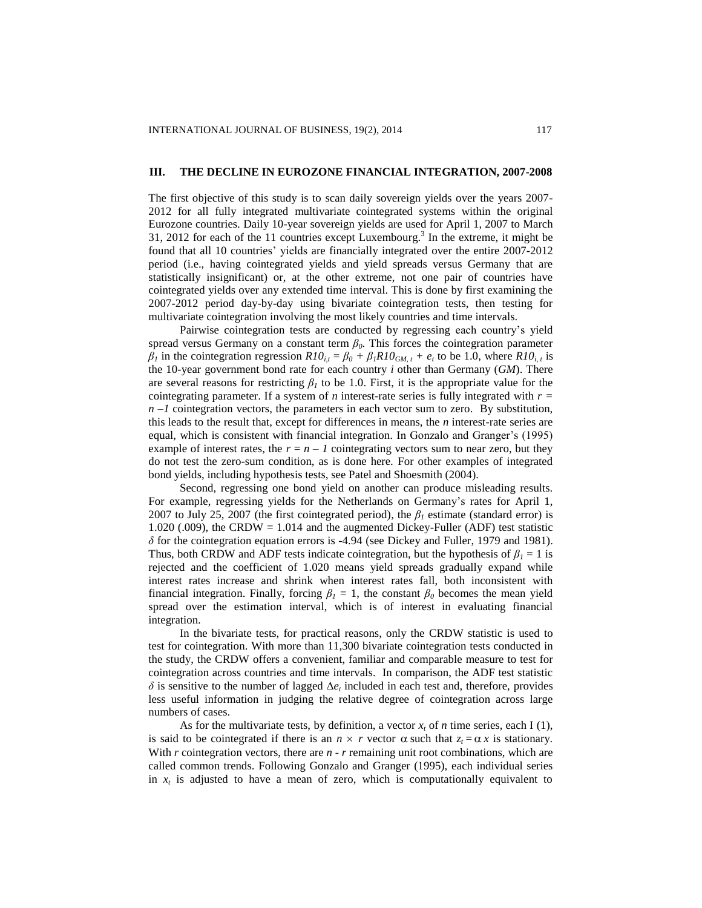#### **III. THE DECLINE IN EUROZONE FINANCIAL INTEGRATION, 2007-2008**

The first objective of this study is to scan daily sovereign yields over the years 2007- 2012 for all fully integrated multivariate cointegrated systems within the original Eurozone countries. Daily 10-year sovereign yields are used for April 1, 2007 to March 31, 2012 for each of the 11 countries except Luxembourg.<sup>3</sup> In the extreme, it might be found that all 10 countries' yields are financially integrated over the entire 2007-2012 period (i.e., having cointegrated yields and yield spreads versus Germany that are statistically insignificant) or, at the other extreme, not one pair of countries have cointegrated yields over any extended time interval. This is done by first examining the 2007-2012 period day-by-day using bivariate cointegration tests, then testing for multivariate cointegration involving the most likely countries and time intervals.

Pairwise cointegration tests are conducted by regressing each country's yield spread versus Germany on a constant term  $\beta_0$ . This forces the cointegration parameter  $\beta_l$  in the cointegration regression  $R10_{i,t} = \beta_0 + \beta_l R10_{GM,t} + e_t$  to be 1.0, where  $R10_{i,t}$  is the 10-year government bond rate for each country *i* other than Germany (*GM*). There are several reasons for restricting  $\beta_l$  to be 1.0. First, it is the appropriate value for the cointegrating parameter. If a system of *n* interest-rate series is fully integrated with *r =*   $n -1$  cointegration vectors, the parameters in each vector sum to zero. By substitution, this leads to the result that, except for differences in means, the *n* interest-rate series are equal, which is consistent with financial integration. In Gonzalo and Granger's (1995) example of interest rates, the  $r = n - 1$  cointegrating vectors sum to near zero, but they do not test the zero-sum condition, as is done here. For other examples of integrated bond yields, including hypothesis tests, see Patel and Shoesmith (2004).

Second, regressing one bond yield on another can produce misleading results. For example, regressing yields for the Netherlands on Germany's rates for April 1, 2007 to July 25, 2007 (the first cointegrated period), the *β<sup>1</sup>* estimate (standard error) is 1.020 (.009), the CRDW = 1.014 and the augmented Dickey-Fuller (ADF) test statistic  $\delta$  for the cointegration equation errors is -4.94 (see Dickey and Fuller, 1979 and 1981). Thus, both CRDW and ADF tests indicate cointegration, but the hypothesis of  $\beta_1 = 1$  is rejected and the coefficient of 1.020 means yield spreads gradually expand while interest rates increase and shrink when interest rates fall, both inconsistent with financial integration. Finally, forcing  $\beta_l = 1$ , the constant  $\beta_0$  becomes the mean yield spread over the estimation interval, which is of interest in evaluating financial integration.

In the bivariate tests, for practical reasons, only the CRDW statistic is used to test for cointegration. With more than 11,300 bivariate cointegration tests conducted in the study, the CRDW offers a convenient, familiar and comparable measure to test for cointegration across countries and time intervals. In comparison, the ADF test statistic  $\delta$  is sensitive to the number of lagged  $\Delta e_t$  included in each test and, therefore, provides less useful information in judging the relative degree of cointegration across large numbers of cases.

As for the multivariate tests, by definition, a vector  $x_t$  of *n* time series, each I (1), is said to be cointegrated if there is an  $n \times r$  vector  $\alpha$  such that  $z_t = \alpha x$  is stationary. With *r* cointegration vectors, there are *n* - *r* remaining unit root combinations, which are called common trends. Following Gonzalo and Granger (1995), each individual series in  $x_t$  is adjusted to have a mean of zero, which is computationally equivalent to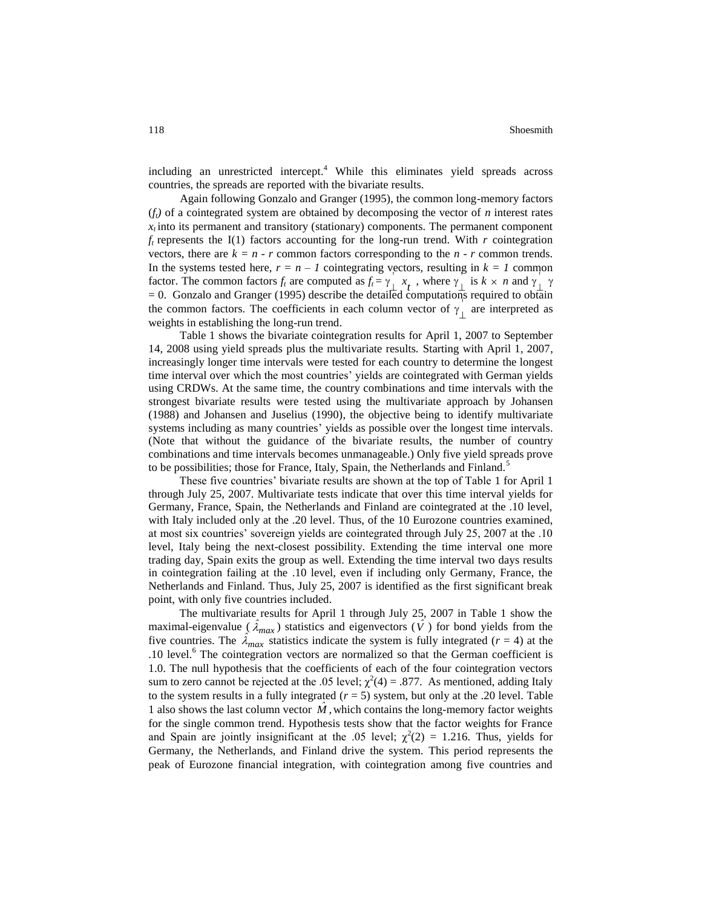including an unrestricted intercept. <sup>4</sup> While this eliminates yield spreads across countries, the spreads are reported with the bivariate results.

Again following Gonzalo and Granger (1995), the common long-memory factors  $(f<sub>i</sub>)$  of a cointegrated system are obtained by decomposing the vector of *n* interest rates  $x_t$  into its permanent and transitory (stationary) components. The permanent component  $f_t$  represents the I(1) factors accounting for the long-run trend. With *r* cointegration vectors, there are  $k = n - r$  common factors corresponding to the  $n - r$  common trends. In the systems tested here,  $r = n - 1$  cointegrating vectors, resulting in  $k = 1$  common factor. The common factors  $f_t$  are computed as  $f_t = \gamma \int_t^t x_t$ , where  $\gamma \int_t^t$  is  $k \times n$  and  $\gamma \int_t^t \gamma$  $= 0$ . Gonzalo and Granger (1995) describe the detailed computations required to obtain the common factors. The coefficients in each column vector of  $\gamma_{\perp}$  are interpreted as weights in establishing the long-run trend.

Table 1 shows the bivariate cointegration results for April 1, 2007 to September 14, 2008 using yield spreads plus the multivariate results. Starting with April 1, 2007, increasingly longer time intervals were tested for each country to determine the longest time interval over which the most countries' yields are cointegrated with German yields using CRDWs. At the same time, the country combinations and time intervals with the strongest bivariate results were tested using the multivariate approach by Johansen (1988) and Johansen and Juselius (1990), the objective being to identify multivariate systems including as many countries' yields as possible over the longest time intervals. (Note that without the guidance of the bivariate results, the number of country combinations and time intervals becomes unmanageable.) Only five yield spreads prove to be possibilities; those for France, Italy, Spain, the Netherlands and Finland.<sup>5</sup>

These five countries' bivariate results are shown at the top of Table 1 for April 1 through July 25, 2007. Multivariate tests indicate that over this time interval yields for Germany, France, Spain, the Netherlands and Finland are cointegrated at the .10 level, with Italy included only at the .20 level. Thus, of the 10 Eurozone countries examined, at most six countries' sovereign yields are cointegrated through July 25, 2007 at the .10 level, Italy being the next-closest possibility. Extending the time interval one more trading day, Spain exits the group as well. Extending the time interval two days results in cointegration failing at the .10 level, even if including only Germany, France, the Netherlands and Finland. Thus, July 25, 2007 is identified as the first significant break point, with only five countries included.

The multivariate results for April 1 through July 25, 2007 in Table 1 show the maximal-eigenvalue  $(\hat{\lambda}_{max})$  statistics and eigenvectors  $(\hat{V})$  for bond yields from the five countries. The  $\hat{\lambda}_{max}$  statistics indicate the system is fully integrated ( $r = 4$ ) at the .10 level.<sup>6</sup> The cointegration vectors are normalized so that the German coefficient is 1.0. The null hypothesis that the coefficients of each of the four cointegration vectors sum to zero cannot be rejected at the .05 level;  $\chi^2(4) = .877$ . As mentioned, adding Italy to the system results in a fully integrated  $(r = 5)$  system, but only at the .20 level. Table 1 also shows the last column vector  $\hat{M}$ , which contains the long-memory factor weights for the single common trend. Hypothesis tests show that the factor weights for France and Spain are jointly insignificant at the .05 level;  $\chi^2(2) = 1.216$ . Thus, yields for Germany, the Netherlands, and Finland drive the system. This period represents the peak of Eurozone financial integration, with cointegration among five countries and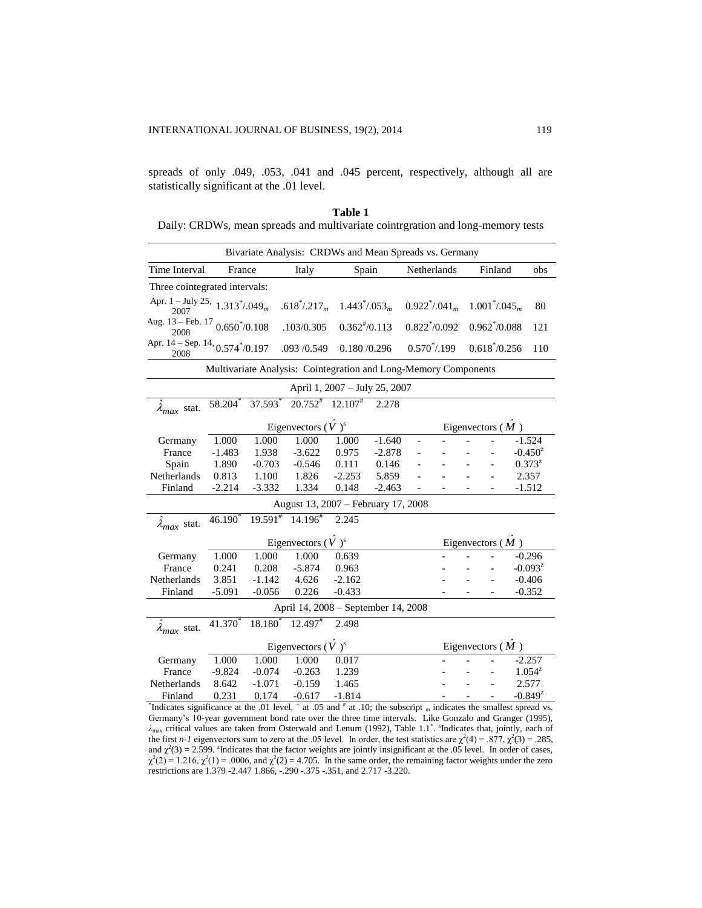spreads of only .049, .053, .041 and .045 percent, respectively, although all are statistically significant at the .01 level.

**Table 1** Daily: CRDWs, mean spreads and multivariate cointrgration and long-memory tests

| Bivariate Analysis: CRDWs and Mean Spreads vs. Germany                                                                  |                                                  |                     |                                   |                  |          |                    |                        |  |                              |     |              |  |
|-------------------------------------------------------------------------------------------------------------------------|--------------------------------------------------|---------------------|-----------------------------------|------------------|----------|--------------------|------------------------|--|------------------------------|-----|--------------|--|
| Time Interval                                                                                                           | France                                           |                     | Italy                             | Spain            |          |                    | Netherlands<br>Finland |  |                              | obs |              |  |
| Three cointegrated intervals:                                                                                           |                                                  |                     |                                   |                  |          |                    |                        |  |                              |     |              |  |
| Apr. 1 – July 25, $1.313^*/.049_m$<br>2007                                                                              |                                                  |                     | $.618^{\ast}/.217_m$              | $1.443^*/.053_m$ |          | $0.922^*/.041_m$   |                        |  | $1.001^*/0.045_m$            |     | 80           |  |
| Aug. $13 - \text{Feb. } 17, 0.650^* / 0.108$<br>2008                                                                    |                                                  |                     | .103/0.305                        | $0.362*/0.113$   |          | $0.822^{*}/0.092$  |                        |  | $0.962\ensuremath{^*}/0.088$ |     | 121          |  |
| Apr. $14 -$ Sep. $14, 0.574^*/0.197$<br>2008                                                                            |                                                  |                     | .093 /0.549                       | 0.180/0.296      |          |                    | $0.570^* / 0.199$      |  | $0.618^{*}/0.256$            |     | 110          |  |
| Multivariate Analysis: Cointegration and Long-Memory Components                                                         |                                                  |                     |                                   |                  |          |                    |                        |  |                              |     |              |  |
| April 1, 2007 - July 25, 2007                                                                                           |                                                  |                     |                                   |                  |          |                    |                        |  |                              |     |              |  |
| $\lambda_{max}$ stat.                                                                                                   | 58.204                                           | 37.593              | $20.752^{\#}$ 12.107 <sup>#</sup> |                  | 2.278    |                    |                        |  |                              |     |              |  |
|                                                                                                                         | Eigenvectors $(\hat{V})^s$<br>Eigenvectors $(M)$ |                     |                                   |                  |          |                    |                        |  |                              |     |              |  |
| Germany                                                                                                                 | 1.000                                            | 1.000               | 1.000                             | 1.000            | $-1.640$ |                    |                        |  |                              |     | $-1.524$     |  |
| France                                                                                                                  | $-1.483$                                         | 1.938               | $-3.622$                          | 0.975            | $-2.878$ |                    |                        |  |                              |     | $-0.450^{z}$ |  |
| Spain                                                                                                                   | 1.890                                            | $-0.703$            | $-0.546$                          | 0.111            | 0.146    |                    |                        |  |                              |     | $0.373^{z}$  |  |
| <b>Netherlands</b>                                                                                                      | 0.813                                            | 1.100               | 1.826                             | $-2.253$         | 5.859    |                    |                        |  | $\overline{a}$               |     | 2.357        |  |
| Finland                                                                                                                 | $-2.214$                                         | $-3.332$            | 1.334                             | 0.148            | $-2.463$ |                    |                        |  |                              |     |              |  |
|                                                                                                                         | $-1.512$<br>August 13, 2007 - February 17, 2008  |                     |                                   |                  |          |                    |                        |  |                              |     |              |  |
|                                                                                                                         | $46.190^{\circ}$                                 | $19.591^{*}$        | $14.196^{\text{*}}$               | 2.245            |          |                    |                        |  |                              |     |              |  |
| $\lambda_{max}$ stat.                                                                                                   |                                                  |                     |                                   |                  |          |                    |                        |  |                              |     |              |  |
|                                                                                                                         | Eigenvectors $(V^s)$ <sup>s</sup>                |                     |                                   |                  |          | Eigenvectors $(M)$ |                        |  |                              |     |              |  |
| Germany                                                                                                                 | 1.000                                            | 1.000               | 1.000                             | 0.639            |          |                    |                        |  |                              |     | $-0.296$     |  |
| France                                                                                                                  | 0.241                                            | 0.208               | $-5.874$                          | 0.963            |          |                    |                        |  |                              |     | $-0.093^{z}$ |  |
| Netherlands                                                                                                             | 3.851                                            | $-1.142$            | 4.626                             | $-2.162$         |          |                    |                        |  |                              |     | $-0.406$     |  |
| Finland                                                                                                                 | $-5.091$                                         | $-0.056$            | 0.226                             | $-0.433$         |          |                    |                        |  |                              |     | $-0.352$     |  |
| April 14, 2008 - September 14, 2008                                                                                     |                                                  |                     |                                   |                  |          |                    |                        |  |                              |     |              |  |
| $\hat{\lambda}_{max}$ stat.                                                                                             | 41.370                                           | 18.180 <sup>*</sup> | 12.497 <sup>#</sup>               | 2.498            |          |                    |                        |  |                              |     |              |  |
|                                                                                                                         | Eigenvectors $(\hat{V})^s$                       |                     |                                   |                  |          |                    | Eigenvectors $(M)$     |  |                              |     |              |  |
| Germany                                                                                                                 | 1.000                                            | 1.000               | 1.000                             | 0.017            |          |                    |                        |  |                              |     | $-2.257$     |  |
| France                                                                                                                  | $-9.824$                                         | $-0.074$            | $-0.263$                          | 1.239            |          |                    |                        |  | $\overline{a}$               |     | $1.054^{z}$  |  |
| Netherlands                                                                                                             | 8.642                                            | $-1.071$            | $-0.159$                          | 1.465            |          |                    |                        |  |                              |     | 2.577        |  |
| Finland                                                                                                                 | 0.231                                            | 0.174               | $-0.617$                          | $-1.814$         |          |                    |                        |  |                              |     | $-0.849^{z}$ |  |
| Indicates significance at the .01 level, $^+$ at .05 and $^#$ at .10; the subscript m indicates the smallest spread vs. |                                                  |                     |                                   |                  |          |                    |                        |  |                              |     |              |  |
|                                                                                                                         |                                                  |                     |                                   |                  |          |                    |                        |  |                              |     |              |  |

Germany's 10-year government bond rate over the three time intervals. Like Gonzalo and Granger (1995),  $λ$ <sub>max</sub> critical values are taken from Osterwald and Lenum (1992), Table 1.1<sup>\*</sup>. <sup>s</sup>Indicates that, jointly, each of the first *n*-1 eigenvectors sum to zero at the .05 level. In order, the test statistics are  $\chi^2(4) = .877$ ,  $\chi^2(3) = .285$ , and  $\chi^2(3) = 2.599$ . Indicates that the factor weights are jointly insignificant at the .05 level. In order of cases,  $\chi^2(2) = 1.216$ ,  $\chi^2(1) = .0006$ , and  $\chi^2(2) = 4.705$ . In the same order, the remaining factor weights under the zero restrictions are 1.379 -2.447 1.866, -.290 -.375 -.351, and 2.717 -3.220.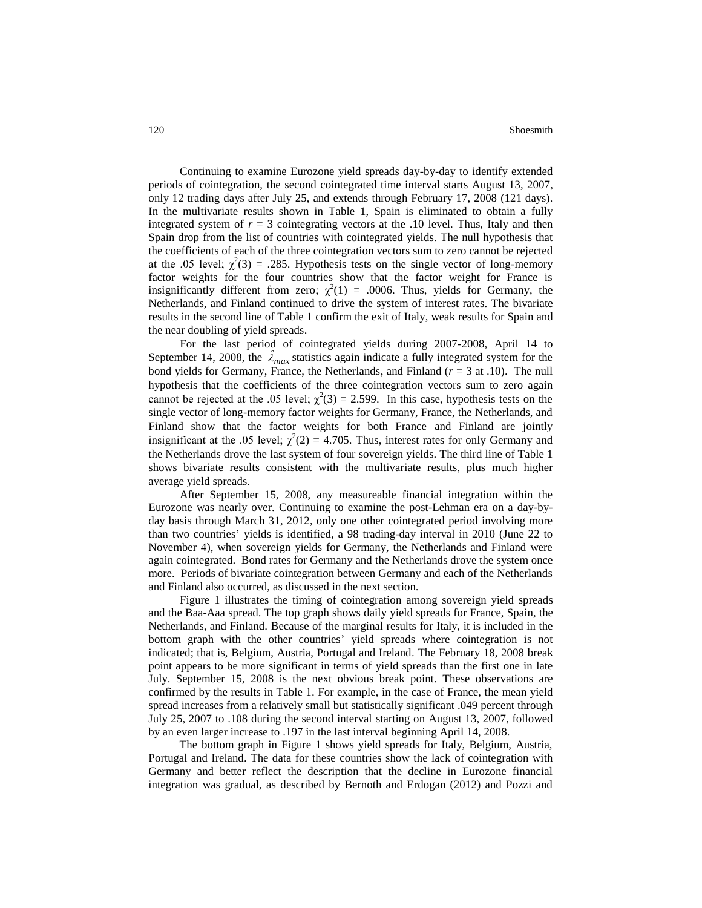Continuing to examine Eurozone yield spreads day-by-day to identify extended periods of cointegration, the second cointegrated time interval starts August 13, 2007, only 12 trading days after July 25, and extends through February 17, 2008 (121 days). In the multivariate results shown in Table 1, Spain is eliminated to obtain a fully integrated system of  $r = 3$  cointegrating vectors at the .10 level. Thus, Italy and then Spain drop from the list of countries with cointegrated yields. The null hypothesis that the coefficients of each of the three cointegration vectors sum to zero cannot be rejected at the .05 level;  $\chi^2(3) = .285$ . Hypothesis tests on the single vector of long-memory factor weights for the four countries show that the factor weight for France is insignificantly different from zero;  $\chi^2(1) = .0006$ . Thus, yields for Germany, the Netherlands, and Finland continued to drive the system of interest rates. The bivariate results in the second line of Table 1 confirm the exit of Italy, weak results for Spain and the near doubling of yield spreads.

For the last period of cointegrated yields during 2007-2008, April 14 to September 14, 2008, the  $\hat{\lambda}_{max}$  statistics again indicate a fully integrated system for the bond yields for Germany, France, the Netherlands, and Finland (*r* = 3 at .10). The null hypothesis that the coefficients of the three cointegration vectors sum to zero again cannot be rejected at the .05 level;  $\chi^2(3) = 2.599$ . In this case, hypothesis tests on the single vector of long-memory factor weights for Germany, France, the Netherlands, and Finland show that the factor weights for both France and Finland are jointly insignificant at the .05 level;  $\chi^2(2) = 4.705$ . Thus, interest rates for only Germany and the Netherlands drove the last system of four sovereign yields. The third line of Table 1 shows bivariate results consistent with the multivariate results, plus much higher average yield spreads.

After September 15, 2008, any measureable financial integration within the Eurozone was nearly over. Continuing to examine the post-Lehman era on a day-byday basis through March 31, 2012, only one other cointegrated period involving more than two countries' yields is identified, a 98 trading-day interval in 2010 (June 22 to November 4), when sovereign yields for Germany, the Netherlands and Finland were again cointegrated. Bond rates for Germany and the Netherlands drove the system once more. Periods of bivariate cointegration between Germany and each of the Netherlands and Finland also occurred, as discussed in the next section.

Figure 1 illustrates the timing of cointegration among sovereign yield spreads and the Baa-Aaa spread. The top graph shows daily yield spreads for France, Spain, the Netherlands, and Finland. Because of the marginal results for Italy, it is included in the bottom graph with the other countries' yield spreads where cointegration is not indicated; that is, Belgium, Austria, Portugal and Ireland. The February 18, 2008 break point appears to be more significant in terms of yield spreads than the first one in late July. September 15, 2008 is the next obvious break point. These observations are confirmed by the results in Table 1. For example, in the case of France, the mean yield spread increases from a relatively small but statistically significant .049 percent through July 25, 2007 to .108 during the second interval starting on August 13, 2007, followed by an even larger increase to .197 in the last interval beginning April 14, 2008.

The bottom graph in Figure 1 shows yield spreads for Italy, Belgium, Austria, Portugal and Ireland. The data for these countries show the lack of cointegration with Germany and better reflect the description that the decline in Eurozone financial integration was gradual, as described by Bernoth and Erdogan (2012) and Pozzi and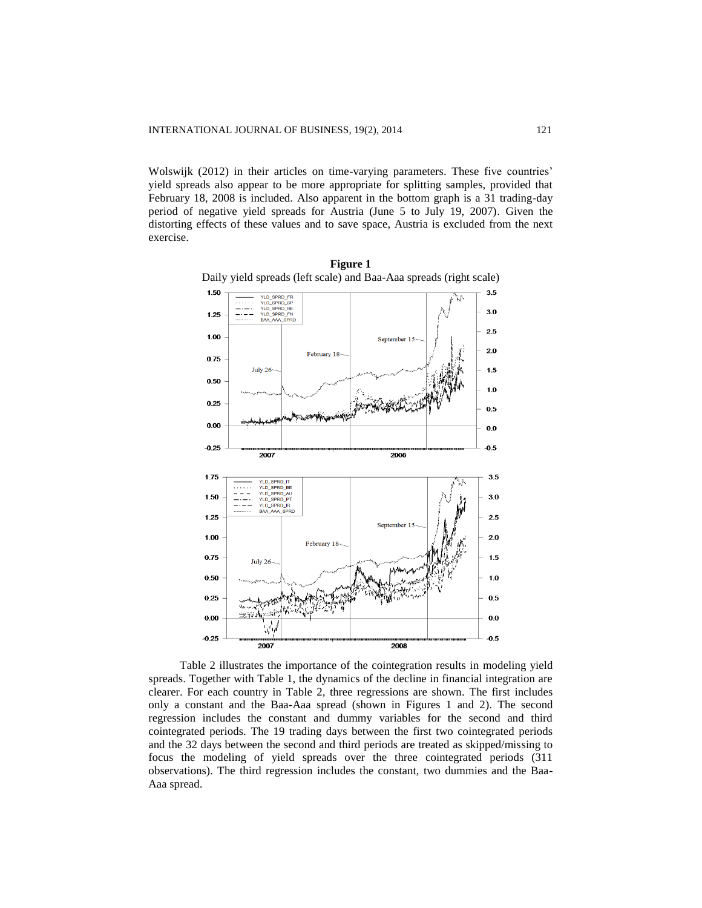Wolswijk (2012) in their articles on time-varying parameters. These five countries' yield spreads also appear to be more appropriate for splitting samples, provided that February 18, 2008 is included. Also apparent in the bottom graph is a 31 trading-day period of negative yield spreads for Austria (June 5 to July 19, 2007). Given the distorting effects of these values and to save space, Austria is excluded from the next exercise.



**Figure 1** Daily yield spreads (left scale) and Baa-Aaa spreads (right scale)

Table 2 illustrates the importance of the cointegration results in modeling yield spreads. Together with Table 1, the dynamics of the decline in financial integration are clearer. For each country in Table 2, three regressions are shown. The first includes only a constant and the Baa-Aaa spread (shown in Figures 1 and 2). The second regression includes the constant and dummy variables for the second and third cointegrated periods. The 19 trading days between the first two cointegrated periods and the 32 days between the second and third periods are treated as skipped/missing to focus the modeling of yield spreads over the three cointegrated periods (311 observations). The third regression includes the constant, two dummies and the Baa-Aaa spread.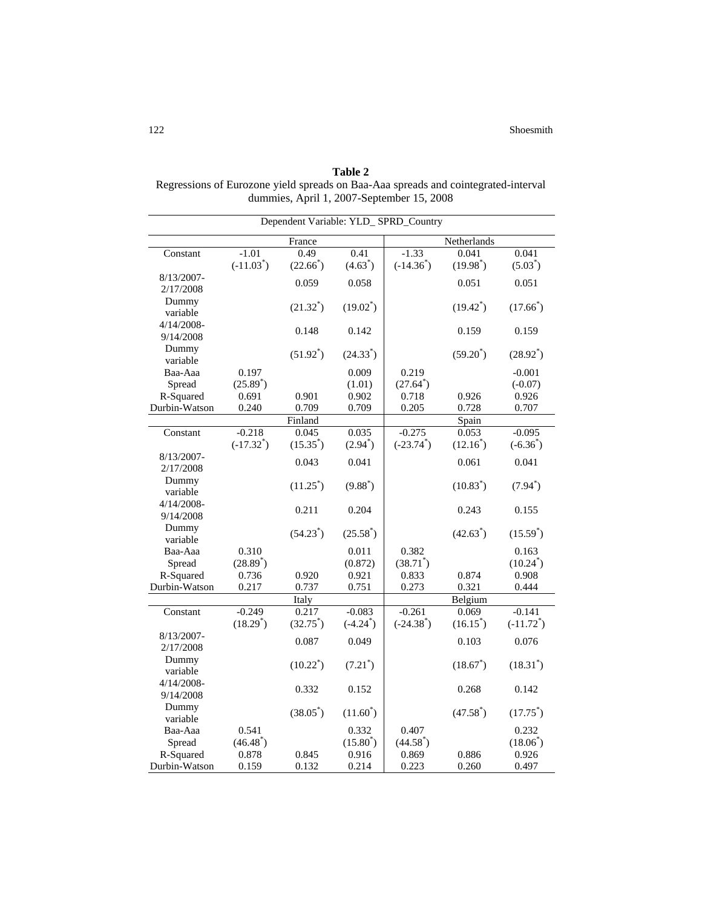|                            |                          |                      |                         | Dependent Variable: YLD_SPRD_Country |                      |                          |  |  |  |
|----------------------------|--------------------------|----------------------|-------------------------|--------------------------------------|----------------------|--------------------------|--|--|--|
|                            |                          | France               |                         | Netherlands                          |                      |                          |  |  |  |
| Constant                   | $-1.01$                  | 0.49                 | 0.41                    | $-1.33$                              | 0.041                | 0.041                    |  |  |  |
|                            | $(-11.03^*)$             | $(22.66^*)$          | $(4.63^*)$              | $(-14.36^*)$                         | $(19.98^*)$          | $(5.03^*)$               |  |  |  |
| 8/13/2007-                 |                          | 0.059                | 0.058                   |                                      | 0.051                | 0.051                    |  |  |  |
| 2/17/2008                  |                          |                      |                         |                                      |                      |                          |  |  |  |
| Dummy<br>variable          |                          | $(21.32^*)$          | $(19.02^*)$             |                                      | $(19.42^*)$          | $(17.66^{*})$            |  |  |  |
| $4/14/2008 -$<br>9/14/2008 |                          | 0.148                | 0.142                   |                                      | 0.159                | 0.159                    |  |  |  |
| Dummy<br>variable          |                          | $(51.92^*)$          | $(24.33^*)$             |                                      | $(59.20^*)$          | $(28.92^*)$              |  |  |  |
| Baa-Aaa                    | 0.197                    |                      | 0.009                   | 0.219                                |                      | $-0.001$                 |  |  |  |
| Spread                     | $(25.89^{*})$            |                      | (1.01)                  | $(27.64^*)$                          |                      | $(-0.07)$                |  |  |  |
| R-Squared                  | 0.691                    | 0.901                | 0.902                   | 0.718                                | 0.926                | 0.926                    |  |  |  |
| Durbin-Watson              | 0.240                    | 0.709                | 0.709                   | 0.205                                | 0.728                | 0.707                    |  |  |  |
|                            |                          | Finland              |                         |                                      | Spain                |                          |  |  |  |
| Constant                   | $-0.218$<br>$(-17.32^*)$ | 0.045<br>$(15.35^*)$ | 0.035<br>$(2.94^*)$     | $-0.275$<br>$(-23.74^*)$             | 0.053<br>$(12.16^*)$ | $-0.095$<br>$(-6.36^*)$  |  |  |  |
| 8/13/2007-<br>2/17/2008    |                          | 0.043                | 0.041                   |                                      | 0.061                | 0.041                    |  |  |  |
| Dummy<br>variable          |                          | $(11.25^*)$          | $(9.88^*)$              |                                      | $(10.83^*)$          | $(7.94^*)$               |  |  |  |
| $4/14/2008 -$<br>9/14/2008 |                          | 0.211                | 0.204                   |                                      | 0.243                | 0.155                    |  |  |  |
| Dummy<br>variable          |                          | $(54.23^*)$          | $(25.58^*)$             |                                      | $(42.63^*)$          | $(15.59^*)$              |  |  |  |
| Baa-Aaa                    | 0.310                    |                      | 0.011                   | 0.382                                |                      | 0.163                    |  |  |  |
| Spread                     | $(28.89^*)$              |                      | (0.872)                 | $(38.71^*)$                          |                      | $(10.24^*)$              |  |  |  |
| R-Squared                  | 0.736                    | 0.920                | 0.921                   | 0.833                                | 0.874                | 0.908                    |  |  |  |
| Durbin-Watson              | 0.217                    | 0.737                | 0.751                   | 0.273                                | 0.321                | 0.444                    |  |  |  |
|                            |                          | Italy                |                         |                                      | Belgium              |                          |  |  |  |
| Constant                   | $-0.249$<br>$(18.29^*)$  | 0.217<br>$(32.75^*)$ | $-0.083$<br>$(-4.24^*)$ | $-0.261$<br>$(-24.38^*)$             | 0.069<br>$(16.15^*)$ | $-0.141$<br>$(-11.72^*)$ |  |  |  |
| 8/13/2007-<br>2/17/2008    |                          | 0.087                | 0.049                   |                                      | 0.103                | 0.076                    |  |  |  |
| Dummy<br>variable          |                          | $(10.22^*)$          | $(7.21^*)$              |                                      | $(18.67^{*})$        | $(18.31^*)$              |  |  |  |
| $4/14/2008 -$<br>9/14/2008 |                          | 0.332                | 0.152                   |                                      | 0.268                | 0.142                    |  |  |  |
| Dummy<br>variable          |                          | $(38.05^*)$          | $(11.60^*)$             |                                      | $(47.58^*)$          | $(17.75^*)$              |  |  |  |
| Baa-Aaa                    | 0.541                    |                      | 0.332                   | 0.407                                |                      | 0.232                    |  |  |  |
| Spread                     | $(46.48^*)$              |                      | $(15.80^*)$             | $(44.58^*)$                          |                      | $(18.06^*)$              |  |  |  |
| R-Squared                  | 0.878                    | 0.845                | 0.916                   | 0.869                                | 0.886                | 0.926                    |  |  |  |
| Durbin-Watson              | 0.159                    | 0.132                | 0.214                   | 0.223                                | 0.260                | 0.497                    |  |  |  |

**Table 2** Regressions of Eurozone yield spreads on Baa-Aaa spreads and cointegrated-interval dummies, April 1, 2007-September 15, 2008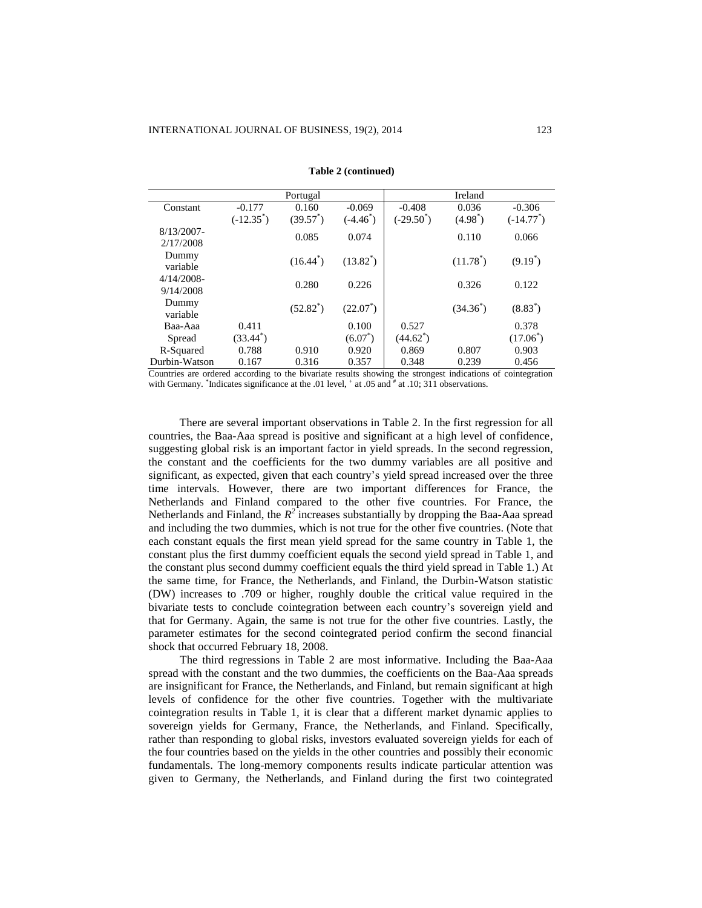|               |              | Portugal    |             |              | Ireland             |              |
|---------------|--------------|-------------|-------------|--------------|---------------------|--------------|
| Constant      | $-0.177$     | 0.160       | $-0.069$    | $-0.408$     | 0.036               | $-0.306$     |
|               | $(-12.35^*)$ | $(39.57^*)$ | $(-4.46^*)$ | $(-29.50^*)$ | $(4.98^*)$          | $(-14.77^*)$ |
| $8/13/2007 -$ |              | 0.085       | 0.074       |              | 0.110               | 0.066        |
| 2/17/2008     |              |             |             |              |                     |              |
| Dummy         |              | $(16.44^*)$ | $(13.82^*)$ |              | $(11.78^*)$         | $(9.19^*)$   |
| variable      |              |             |             |              |                     |              |
| $4/14/2008$ - |              | 0.280       | 0.226       |              | 0.326               | 0.122        |
| 9/14/2008     |              |             |             |              |                     |              |
| Dummy         |              | $(52.82^*)$ | $(22.07^*)$ |              | $(34.36^{\degree})$ | $(8.83^*)$   |
| variable      |              |             |             |              |                     |              |
| Baa-Aaa       | 0.411        |             | 0.100       | 0.527        |                     | 0.378        |
| Spread        | $(33.44^*)$  |             | $(6.07^*)$  | $(44.62^*)$  |                     | $(17.06^*)$  |
| R-Squared     | 0.788        | 0.910       | 0.920       | 0.869        | 0.807               | 0.903        |
| Durbin-Watson | 0.167        | 0.316       | 0.357       | 0.348        | 0.239               | 0.456        |

**Table 2 (continued)**

Countries are ordered according to the bivariate results showing the strongest indications of cointegration with Germany. <sup>\*</sup>Indicates significance at the .01 level, <sup>+</sup> at .05 and <sup>#</sup> at .10; 311 observations.

There are several important observations in Table 2. In the first regression for all countries, the Baa-Aaa spread is positive and significant at a high level of confidence, suggesting global risk is an important factor in yield spreads. In the second regression, the constant and the coefficients for the two dummy variables are all positive and significant, as expected, given that each country's yield spread increased over the three time intervals. However, there are two important differences for France, the Netherlands and Finland compared to the other five countries. For France, the Netherlands and Finland, the  $R^2$  increases substantially by dropping the Baa-Aaa spread and including the two dummies, which is not true for the other five countries. (Note that each constant equals the first mean yield spread for the same country in Table 1, the constant plus the first dummy coefficient equals the second yield spread in Table 1, and the constant plus second dummy coefficient equals the third yield spread in Table 1.) At the same time, for France, the Netherlands, and Finland, the Durbin-Watson statistic (DW) increases to .709 or higher, roughly double the critical value required in the bivariate tests to conclude cointegration between each country's sovereign yield and that for Germany. Again, the same is not true for the other five countries. Lastly, the parameter estimates for the second cointegrated period confirm the second financial shock that occurred February 18, 2008.

The third regressions in Table 2 are most informative. Including the Baa-Aaa spread with the constant and the two dummies, the coefficients on the Baa-Aaa spreads are insignificant for France, the Netherlands, and Finland, but remain significant at high levels of confidence for the other five countries. Together with the multivariate cointegration results in Table 1, it is clear that a different market dynamic applies to sovereign yields for Germany, France, the Netherlands, and Finland. Specifically, rather than responding to global risks, investors evaluated sovereign yields for each of the four countries based on the yields in the other countries and possibly their economic fundamentals. The long-memory components results indicate particular attention was given to Germany, the Netherlands, and Finland during the first two cointegrated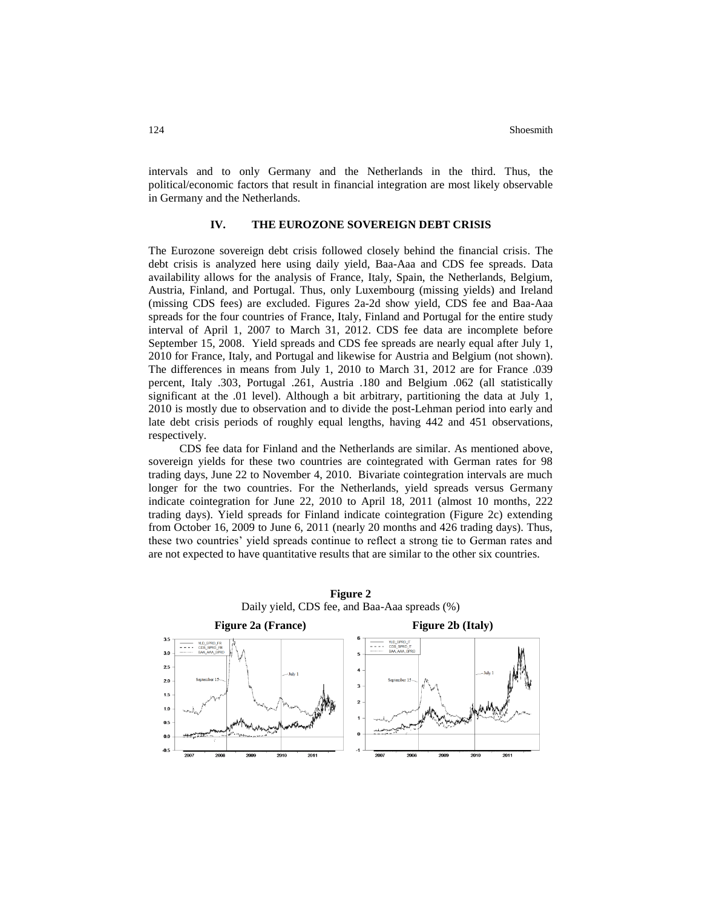intervals and to only Germany and the Netherlands in the third. Thus, the political/economic factors that result in financial integration are most likely observable in Germany and the Netherlands.

### **IV. THE EUROZONE SOVEREIGN DEBT CRISIS**

The Eurozone sovereign debt crisis followed closely behind the financial crisis. The debt crisis is analyzed here using daily yield, Baa-Aaa and CDS fee spreads. Data availability allows for the analysis of France, Italy, Spain, the Netherlands, Belgium, Austria, Finland, and Portugal. Thus, only Luxembourg (missing yields) and Ireland (missing CDS fees) are excluded. Figures 2a-2d show yield, CDS fee and Baa-Aaa spreads for the four countries of France, Italy, Finland and Portugal for the entire study interval of April 1, 2007 to March 31, 2012. CDS fee data are incomplete before September 15, 2008. Yield spreads and CDS fee spreads are nearly equal after July 1, 2010 for France, Italy, and Portugal and likewise for Austria and Belgium (not shown). The differences in means from July 1, 2010 to March 31, 2012 are for France .039 percent, Italy .303, Portugal .261, Austria .180 and Belgium .062 (all statistically significant at the .01 level). Although a bit arbitrary, partitioning the data at July 1, 2010 is mostly due to observation and to divide the post-Lehman period into early and late debt crisis periods of roughly equal lengths, having 442 and 451 observations, respectively.

CDS fee data for Finland and the Netherlands are similar. As mentioned above, sovereign yields for these two countries are cointegrated with German rates for 98 trading days, June 22 to November 4, 2010. Bivariate cointegration intervals are much longer for the two countries. For the Netherlands, yield spreads versus Germany indicate cointegration for June 22, 2010 to April 18, 2011 (almost 10 months, 222 trading days). Yield spreads for Finland indicate cointegration (Figure 2c) extending from October 16, 2009 to June 6, 2011 (nearly 20 months and 426 trading days). Thus, these two countries' yield spreads continue to reflect a strong tie to German rates and are not expected to have quantitative results that are similar to the other six countries.

> **Figure 2** Daily yield, CDS fee, and Baa-Aaa spreads (%)

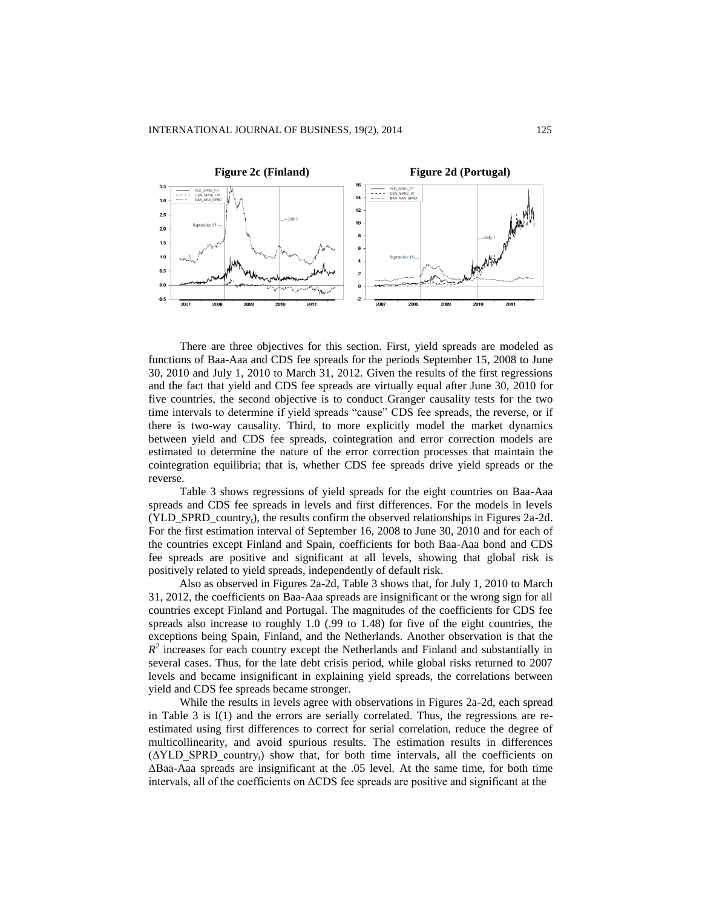

There are three objectives for this section. First, yield spreads are modeled as functions of Baa-Aaa and CDS fee spreads for the periods September 15, 2008 to June 30, 2010 and July 1, 2010 to March 31, 2012. Given the results of the first regressions and the fact that yield and CDS fee spreads are virtually equal after June 30, 2010 for five countries, the second objective is to conduct Granger causality tests for the two time intervals to determine if yield spreads "cause" CDS fee spreads, the reverse, or if there is two-way causality. Third, to more explicitly model the market dynamics between yield and CDS fee spreads, cointegration and error correction models are estimated to determine the nature of the error correction processes that maintain the cointegration equilibria; that is, whether CDS fee spreads drive yield spreads or the reverse.

Table 3 shows regressions of yield spreads for the eight countries on Baa-Aaa spreads and CDS fee spreads in levels and first differences. For the models in levels  $(YLD_SPRD_country<sub>t</sub>)$ , the results confirm the observed relationships in Figures 2a-2d. For the first estimation interval of September 16, 2008 to June 30, 2010 and for each of the countries except Finland and Spain, coefficients for both Baa-Aaa bond and CDS fee spreads are positive and significant at all levels, showing that global risk is positively related to yield spreads, independently of default risk.

Also as observed in Figures 2a-2d, Table 3 shows that, for July 1, 2010 to March 31, 2012, the coefficients on Baa-Aaa spreads are insignificant or the wrong sign for all countries except Finland and Portugal. The magnitudes of the coefficients for CDS fee spreads also increase to roughly 1.0 (.99 to 1.48) for five of the eight countries, the exceptions being Spain, Finland, and the Netherlands. Another observation is that the  $R<sup>2</sup>$  increases for each country except the Netherlands and Finland and substantially in several cases. Thus, for the late debt crisis period, while global risks returned to 2007 levels and became insignificant in explaining yield spreads, the correlations between yield and CDS fee spreads became stronger.

While the results in levels agree with observations in Figures 2a-2d, each spread in Table 3 is I(1) and the errors are serially correlated. Thus, the regressions are reestimated using first differences to correct for serial correlation, reduce the degree of multicollinearity, and avoid spurious results. The estimation results in differences  $(\Delta YLD$  SPRD country<sub>t</sub>) show that, for both time intervals, all the coefficients on ΔBaa-Aaa spreads are insignificant at the .05 level. At the same time, for both time intervals, all of the coefficients on ΔCDS fee spreads are positive and significant at the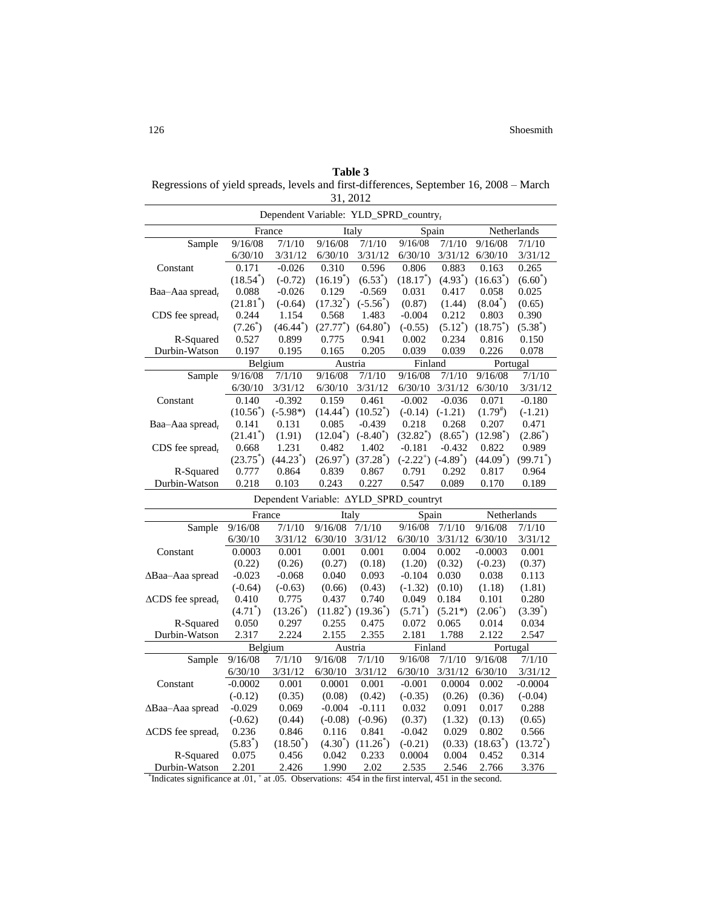**Table 3** Regressions of yield spreads, levels and first-differences, September 16, 2008 – March 31, 2012

| Dependent Variable: YLD_SPRD_country,                                                                   |                     |                                        |                     |                         |                         |                  |                       |                     |  |
|---------------------------------------------------------------------------------------------------------|---------------------|----------------------------------------|---------------------|-------------------------|-------------------------|------------------|-----------------------|---------------------|--|
|                                                                                                         |                     | France                                 |                     | Italy                   | Spain                   |                  | Netherlands           |                     |  |
| Sample                                                                                                  | 9/16/08             | 7/1/10                                 | 9/16/08             | 7/1/10                  | 9/16/08                 | 7/1/10           | 9/16/08               | 7/1/10              |  |
|                                                                                                         | 6/30/10             | 3/31/12                                | 6/30/10             | 3/31/12                 | 6/30/10                 | 3/31/12          | 6/30/10               | 3/31/12             |  |
| Constant                                                                                                | 0.171               | $-0.026$                               | 0.310               | 0.596                   | 0.806                   | 0.883            | 0.163                 | 0.265               |  |
|                                                                                                         | $(18.54^*)$         | $(-0.72)$                              | $(16.19^*)$         | $(6.53^*)$              | $(18.17^*)$             | $(4.93^*)$       | $(16.63^*)$           | $(6.60^*)$          |  |
| Baa-Aaa spread,                                                                                         | 0.088               | $-0.026$                               | 0.129               | $-0.569$                | 0.031                   | 0.417            | 0.058                 | 0.025               |  |
|                                                                                                         | $(21.81^{\degree})$ | $(-0.64)$                              | $(17.32^{\degree})$ | $(-5.56^{\circ})$       | (0.87)                  | (1.44)           | $(8.04^*)$            | (0.65)              |  |
| $CDS$ fee spread,                                                                                       | 0.244               | 1.154                                  | 0.568               | 1.483                   | $-0.004$                | 0.212            | 0.803                 | 0.390               |  |
|                                                                                                         | $(7.26^{\degree})$  | $(46.44^{\degree})$                    | $(27.77^{\degree})$ | $(64.80^{\circ})$       | $(-0.55)$               | $(5.12^*)$       | $(18.75^*)$           | $(5.38^*)$          |  |
| R-Squared                                                                                               | 0.527               | 0.899                                  | 0.775               | 0.941                   | 0.002                   | 0.234            | 0.816                 | 0.150               |  |
| Durbin-Watson                                                                                           | 0.197               | 0.195                                  | 0.165               | 0.205                   | 0.039                   | 0.039            | 0.226                 | 0.078               |  |
|                                                                                                         | Belgium             |                                        | Austria             |                         | Finland                 |                  | Portugal              |                     |  |
| Sample                                                                                                  | 9/16/08             | 7/1/10                                 | 9/16/08             | 7/1/10                  | 9/16/08                 | 7/1/10           | 9/16/08               | 7/1/10              |  |
|                                                                                                         | 6/30/10             | 3/31/12                                | 6/30/10             | 3/31/12                 | 6/30/10                 | 3/31/12          | 6/30/10               | 3/31/12             |  |
| Constant                                                                                                | 0.140               | $-0.392$                               | 0.159               | 0.461                   | $-0.002$                | $-0.036$         | 0.071                 | $-0.180$            |  |
|                                                                                                         | $(10.56^*)$         | $(-5.98*)$                             | $(14.44^*)$         | $(10.52^*)$             | $(-0.14)$               | $(-1.21)$        | $(1.79^{*})$          | $(-1.21)$           |  |
| Baa–Aaa spread,                                                                                         | 0.141               | 0.131                                  | 0.085               | $-0.439$                | 0.218                   | 0.268            | 0.207                 | 0.471               |  |
|                                                                                                         | $(21.41^*)$         | (1.91)                                 | $(12.04^{\degree})$ | $(-8.40^*)$             | $(32.82^*)$             | $(8.65^{\circ})$ | (12.98 <sup>°</sup> ) | $(2.86^{*})$        |  |
| $CDS$ fee spread,                                                                                       | 0.668               | 1.231                                  | 0.482               | 1.402                   | $-0.181$                | $-0.432$         | 0.822                 | 0.989               |  |
|                                                                                                         | $(23.75^{\circ})$   | $(44.23^*)$                            | $(26.97^{\degree})$ | $(37.28^*)$             | $(-2.22^+)$ $(-4.89^+)$ |                  | $(44.09^*)$           | $(99.71^{\degree})$ |  |
| R-Squared                                                                                               | 0.777               | 0.864                                  | 0.839               | 0.867                   | 0.791                   | 0.292            | 0.817                 | 0.964               |  |
| Durbin-Watson                                                                                           | 0.218               | 0.103                                  | 0.243               | 0.227                   | 0.547                   | 0.089            | 0.170                 | 0.189               |  |
|                                                                                                         |                     | Dependent Variable: AYLD SPRD countryt |                     |                         |                         |                  |                       |                     |  |
|                                                                                                         | France              |                                        | Italy               |                         | Spain                   |                  | Netherlands           |                     |  |
| Sample                                                                                                  | 9/16/08             | 7/1/10                                 | 9/16/08             | 7/1/10                  | 9/16/08                 | 7/1/10           | 9/16/08               | 7/1/10              |  |
|                                                                                                         | 6/30/10             | 3/31/12                                | 6/30/10             | 3/31/12                 | 6/30/10                 | 3/31/12          | 6/30/10               | 3/31/12             |  |
| Constant                                                                                                | 0.0003              | 0.001                                  | 0.001               | 0.001                   | 0.004                   | 0.002            | $-0.0003$             | 0.001               |  |
|                                                                                                         | (0.22)              | (0.26)                                 | (0.27)              | (0.18)                  | (1.20)                  | (0.32)           | $(-0.23)$             | (0.37)              |  |
| $\Delta$ Baa–Aaa spread                                                                                 | $-0.023$            | $-0.068$                               | 0.040               | 0.093                   | $-0.104$                | 0.030            | 0.038                 | 0.113               |  |
|                                                                                                         | $(-0.64)$           | $(-0.63)$                              | (0.66)              | (0.43)                  | $(-1.32)$               | (0.10)           | (1.18)                | (1.81)              |  |
| $\triangle CDS$ fee spread <sub>t</sub>                                                                 | 0.410               | 0.775                                  | 0.437               | 0.740                   | 0.049                   | 0.184            | 0.101                 | 0.280               |  |
|                                                                                                         | $(4.71^*)$          | $(13.26^{*})$                          |                     | $(11.82^*)$ $(19.36^*)$ | $(5.71^{\degree})$      | $(5.21*)$        | $(2.06^+)$            | $(3.39^{\degree})$  |  |
| R-Squared                                                                                               | 0.050               | 0.297                                  | 0.255               | 0.475                   | 0.072                   | 0.065            | 0.014                 | 0.034               |  |
| Durbin-Watson                                                                                           | 2.317               | 2.224                                  | 2.155               | 2.355                   | 2.181                   | 1.788            | 2.122                 | 2.547               |  |
|                                                                                                         | Belgium             |                                        |                     | Austria                 |                         | Finland          |                       | Portugal            |  |
| Sample                                                                                                  | 9/16/08             | 7/1/10                                 | 9/16/08             | 7/1/10                  | 9/16/08                 | 7/1/10           | 9/16/08               | 7/1/10              |  |
|                                                                                                         | 6/30/10             | 3/31/12                                | 6/30/10             | 3/31/12                 | 6/30/10                 | 3/31/12          | 6/30/10               | 3/31/12             |  |
| Constant                                                                                                | $-0.0002$           | 0.001                                  | 0.0001              | 0.001                   | $-0.001$                | 0.0004           | 0.002                 | $-0.0004$           |  |
|                                                                                                         | $(-0.12)$           | (0.35)                                 | (0.08)              | (0.42)                  | $(-0.35)$               | (0.26)           | (0.36)                | $(-0.04)$           |  |
| $\Delta$ Baa–Aaa spread                                                                                 | $-0.029$            | 0.069                                  | $-0.004$            | $-0.111$                | 0.032                   | 0.091            | 0.017                 | 0.288               |  |
|                                                                                                         | $(-0.62)$           | (0.44)                                 | $(-0.08)$           | $(-0.96)$               | (0.37)                  | (1.32)           | (0.13)                | (0.65)              |  |
| $\triangle CDS$ fee spread,                                                                             | 0.236               | 0.846                                  | 0.116               | 0.841                   | $-0.042$                | 0.029            | 0.802                 | 0.566               |  |
|                                                                                                         | $(5.83^*)$          | $(18.50^{\circ})$                      | $(4.30^{\circ})$    | $(11.26^*)$             | $(-0.21)$               | (0.33)           | $(18.63^{\circ})$     | $(13.72^{\degree})$ |  |
| R-Squared                                                                                               | 0.075               | 0.456                                  | 0.042               | 0.233                   | 0.0004                  | 0.004            | 0.452                 | 0.314               |  |
| Durbin-Watson                                                                                           | 2.201               | 2.426                                  | 1.990               | 2.02                    | 2.535                   | 2.546            | 2.766                 | 3.376               |  |
| Indicates significance at .01, $^+$ at .05. Observations: 454 in the first interval, 451 in the second. |                     |                                        |                     |                         |                         |                  |                       |                     |  |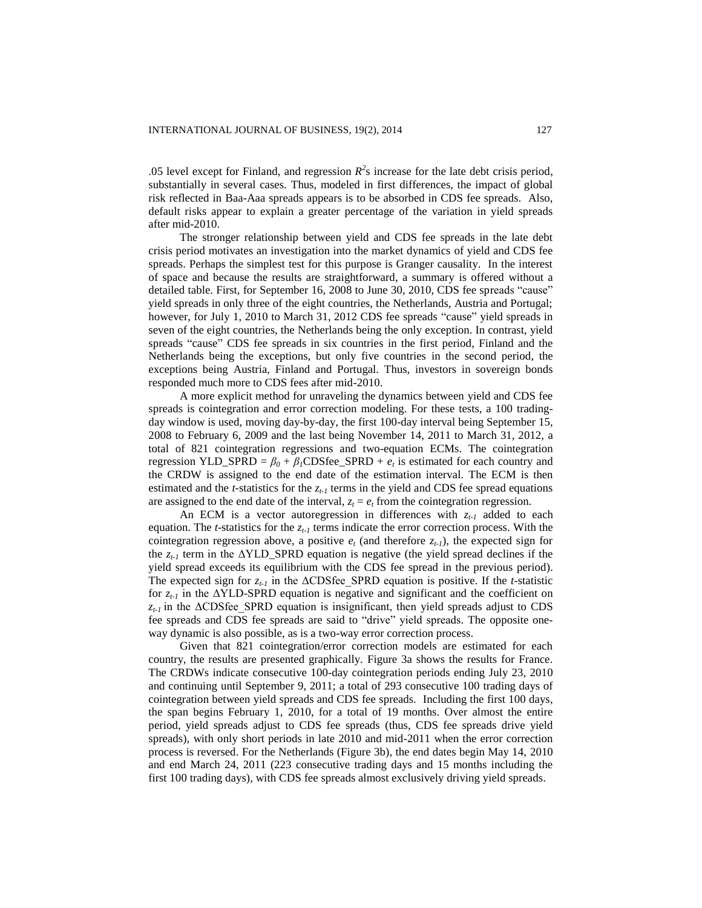.05 level except for Finland, and regression  $R^2$ s increase for the late debt crisis period, substantially in several cases. Thus, modeled in first differences, the impact of global risk reflected in Baa-Aaa spreads appears is to be absorbed in CDS fee spreads. Also, default risks appear to explain a greater percentage of the variation in yield spreads after mid-2010.

The stronger relationship between yield and CDS fee spreads in the late debt crisis period motivates an investigation into the market dynamics of yield and CDS fee spreads. Perhaps the simplest test for this purpose is Granger causality. In the interest of space and because the results are straightforward, a summary is offered without a detailed table. First, for September 16, 2008 to June 30, 2010, CDS fee spreads "cause" yield spreads in only three of the eight countries, the Netherlands, Austria and Portugal; however, for July 1, 2010 to March 31, 2012 CDS fee spreads "cause" yield spreads in seven of the eight countries, the Netherlands being the only exception. In contrast, yield spreads "cause" CDS fee spreads in six countries in the first period, Finland and the Netherlands being the exceptions, but only five countries in the second period, the exceptions being Austria, Finland and Portugal. Thus, investors in sovereign bonds responded much more to CDS fees after mid-2010.

A more explicit method for unraveling the dynamics between yield and CDS fee spreads is cointegration and error correction modeling. For these tests, a 100 tradingday window is used, moving day-by-day, the first 100-day interval being September 15, 2008 to February 6, 2009 and the last being November 14, 2011 to March 31, 2012, a total of 821 cointegration regressions and two-equation ECMs. The cointegration regression YLD\_SPRD =  $\beta_0 + \beta_1$ CDSfee\_SPRD +  $e_t$  is estimated for each country and the CRDW is assigned to the end date of the estimation interval. The ECM is then estimated and the *t*-statistics for the  $z_t$ *<sub>t</sub>* terms in the yield and CDS fee spread equations are assigned to the end date of the interval,  $z<sub>t</sub> = e<sub>t</sub>$  from the cointegration regression.

An ECM is a vector autoregression in differences with *zt-1* added to each equation. The *t*-statistics for the *zt-1* terms indicate the error correction process. With the cointegration regression above, a positive  $e_t$  (and therefore  $z_{t-1}$ ), the expected sign for the  $z_{t-1}$  term in the  $\Delta YLD$  spraces equation is negative (the yield spread declines if the yield spread exceeds its equilibrium with the CDS fee spread in the previous period). The expected sign for *zt-1* in the ΔCDSfee\_SPRD equation is positive. If the *t*-statistic for *zt-1* in the ΔYLD-SPRD equation is negative and significant and the coefficient on  $z_{t-1}$  in the  $\triangle$ CDSfee SPRD equation is insignificant, then yield spreads adjust to CDS fee spreads and CDS fee spreads are said to "drive" yield spreads. The opposite oneway dynamic is also possible, as is a two-way error correction process.

Given that 821 cointegration/error correction models are estimated for each country, the results are presented graphically. Figure 3a shows the results for France. The CRDWs indicate consecutive 100-day cointegration periods ending July 23, 2010 and continuing until September 9, 2011; a total of 293 consecutive 100 trading days of cointegration between yield spreads and CDS fee spreads. Including the first 100 days, the span begins February 1, 2010, for a total of 19 months. Over almost the entire period, yield spreads adjust to CDS fee spreads (thus, CDS fee spreads drive yield spreads), with only short periods in late 2010 and mid-2011 when the error correction process is reversed. For the Netherlands (Figure 3b), the end dates begin May 14, 2010 and end March 24, 2011 (223 consecutive trading days and 15 months including the first 100 trading days), with CDS fee spreads almost exclusively driving yield spreads.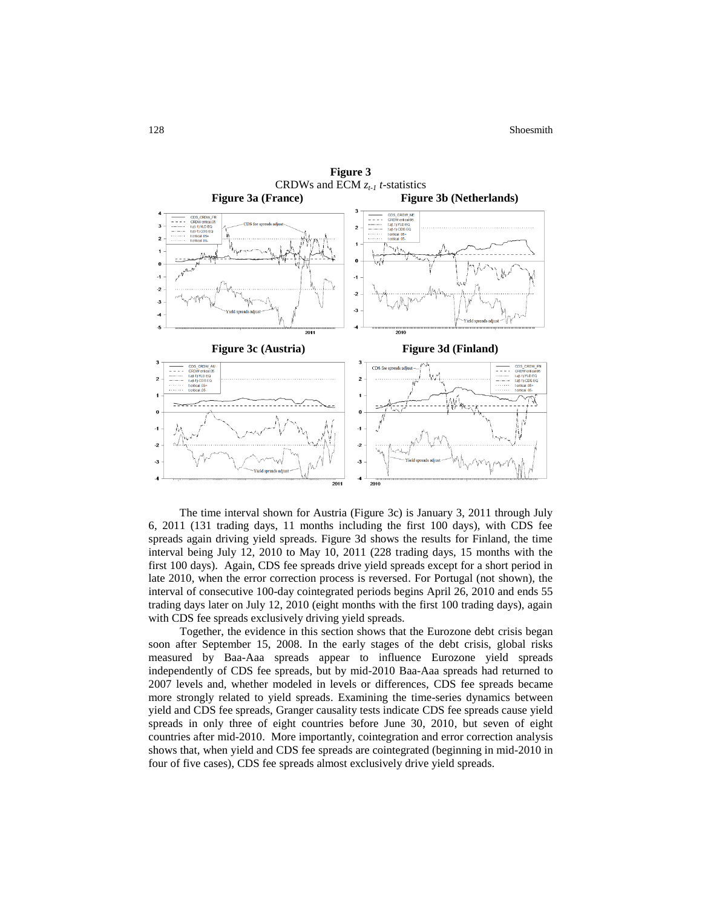

The time interval shown for Austria (Figure 3c) is January 3, 2011 through July 6, 2011 (131 trading days, 11 months including the first 100 days), with CDS fee spreads again driving yield spreads. Figure 3d shows the results for Finland, the time interval being July 12, 2010 to May 10, 2011 (228 trading days, 15 months with the first 100 days). Again, CDS fee spreads drive yield spreads except for a short period in late 2010, when the error correction process is reversed. For Portugal (not shown), the interval of consecutive 100-day cointegrated periods begins April 26, 2010 and ends 55 trading days later on July 12, 2010 (eight months with the first 100 trading days), again with CDS fee spreads exclusively driving yield spreads.

Together, the evidence in this section shows that the Eurozone debt crisis began soon after September 15, 2008. In the early stages of the debt crisis, global risks measured by Baa-Aaa spreads appear to influence Eurozone yield spreads independently of CDS fee spreads, but by mid-2010 Baa-Aaa spreads had returned to 2007 levels and, whether modeled in levels or differences, CDS fee spreads became more strongly related to yield spreads. Examining the time-series dynamics between yield and CDS fee spreads, Granger causality tests indicate CDS fee spreads cause yield spreads in only three of eight countries before June 30, 2010, but seven of eight countries after mid-2010. More importantly, cointegration and error correction analysis shows that, when yield and CDS fee spreads are cointegrated (beginning in mid-2010 in four of five cases), CDS fee spreads almost exclusively drive yield spreads.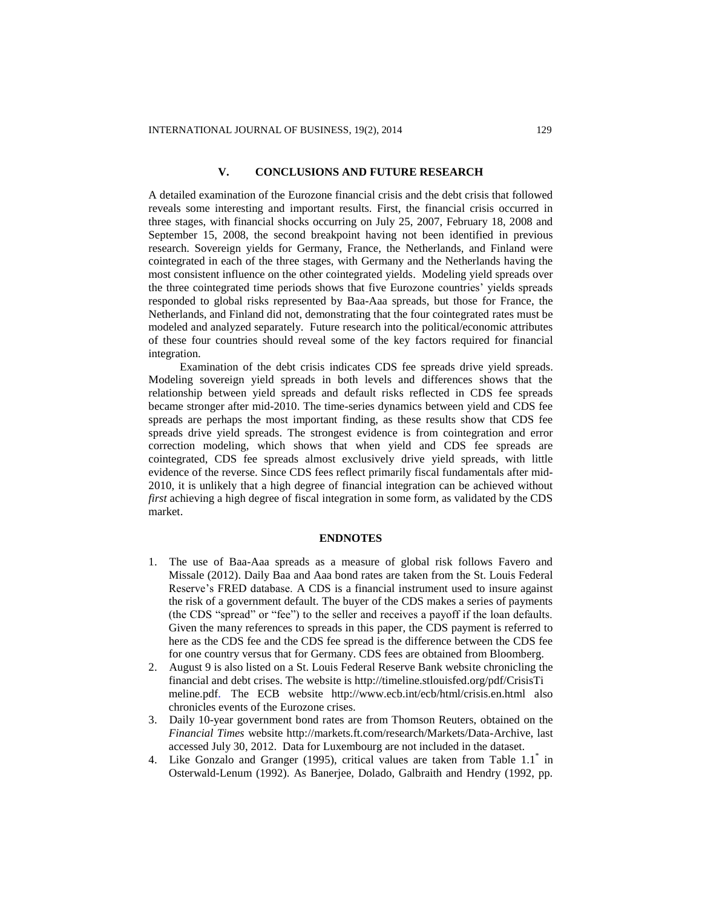# **V. CONCLUSIONS AND FUTURE RESEARCH**

A detailed examination of the Eurozone financial crisis and the debt crisis that followed reveals some interesting and important results. First, the financial crisis occurred in three stages, with financial shocks occurring on July 25, 2007, February 18, 2008 and September 15, 2008, the second breakpoint having not been identified in previous research. Sovereign yields for Germany, France, the Netherlands, and Finland were cointegrated in each of the three stages, with Germany and the Netherlands having the most consistent influence on the other cointegrated yields. Modeling yield spreads over the three cointegrated time periods shows that five Eurozone countries' yields spreads responded to global risks represented by Baa-Aaa spreads, but those for France, the Netherlands, and Finland did not, demonstrating that the four cointegrated rates must be modeled and analyzed separately. Future research into the political/economic attributes of these four countries should reveal some of the key factors required for financial integration.

Examination of the debt crisis indicates CDS fee spreads drive yield spreads. Modeling sovereign yield spreads in both levels and differences shows that the relationship between yield spreads and default risks reflected in CDS fee spreads became stronger after mid-2010. The time-series dynamics between yield and CDS fee spreads are perhaps the most important finding, as these results show that CDS fee spreads drive yield spreads. The strongest evidence is from cointegration and error correction modeling, which shows that when yield and CDS fee spreads are cointegrated, CDS fee spreads almost exclusively drive yield spreads, with little evidence of the reverse. Since CDS fees reflect primarily fiscal fundamentals after mid-2010, it is unlikely that a high degree of financial integration can be achieved without *first* achieving a high degree of fiscal integration in some form, as validated by the CDS market.

#### **ENDNOTES**

- 1. The use of Baa-Aaa spreads as a measure of global risk follows Favero and Missale (2012). Daily Baa and Aaa bond rates are taken from the St. Louis Federal Reserve's FRED database. A CDS is a financial instrument used to insure against the risk of a government default. The buyer of the CDS makes a series of payments (the CDS "spread" or "fee") to the seller and receives a payoff if the loan defaults. Given the many references to spreads in this paper, the CDS payment is referred to here as the CDS fee and the CDS fee spread is the difference between the CDS fee for one country versus that for Germany. CDS fees are obtained from Bloomberg.
- 2. August 9 is also listed on a St. Louis Federal Reserve Bank website chronicling the financial and debt crises. The website is http://timeline.stlouisfed.org/pdf/CrisisTi meline.pdf. The ECB website http://www.ecb.int/ecb/html/crisis.en.html also chronicles events of the Eurozone crises.
- 3. Daily 10-year government bond rates are from Thomson Reuters, obtained on the *Financial Times* website http://markets.ft.com/research/Markets/Data-Archive, last accessed July 30, 2012. Data for Luxembourg are not included in the dataset.
- 4. Like Gonzalo and Granger (1995), critical values are taken from Table 1.1<sup>\*</sup> in Osterwald-Lenum (1992). As Banerjee, Dolado, Galbraith and Hendry (1992, pp.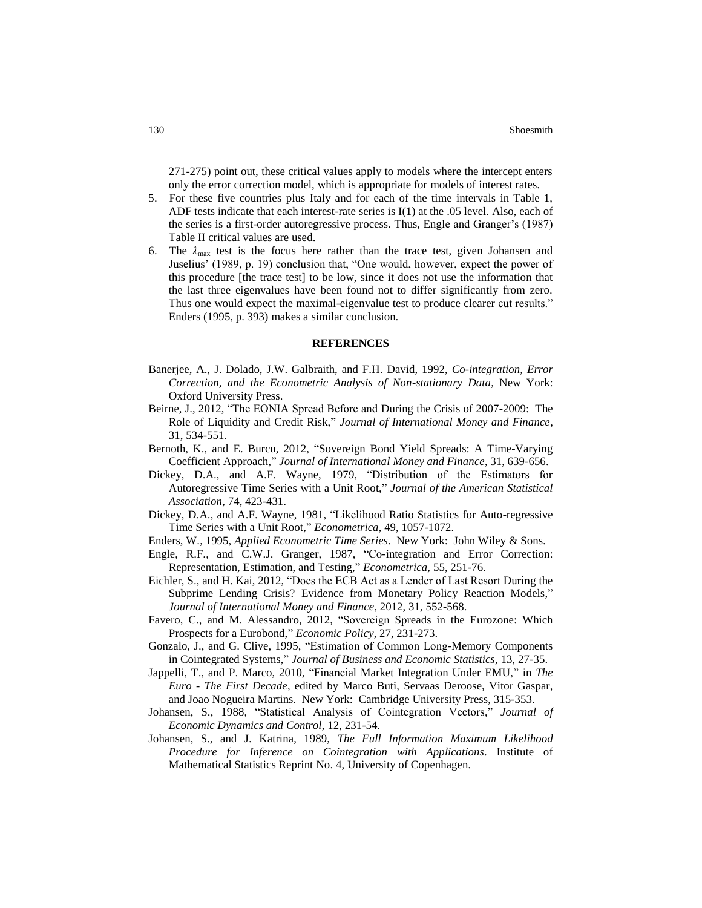271-275) point out, these critical values apply to models where the intercept enters only the error correction model, which is appropriate for models of interest rates.

- 5. For these five countries plus Italy and for each of the time intervals in Table 1, ADF tests indicate that each interest-rate series is I(1) at the .05 level. Also, each of the series is a first-order autoregressive process. Thus, Engle and Granger's (1987) Table II critical values are used.
- 6. The  $\lambda_{\text{max}}$  test is the focus here rather than the trace test, given Johansen and Juselius' (1989, p. 19) conclusion that, "One would, however, expect the power of this procedure [the trace test] to be low, since it does not use the information that the last three eigenvalues have been found not to differ significantly from zero. Thus one would expect the maximal-eigenvalue test to produce clearer cut results." Enders (1995, p. 393) makes a similar conclusion.

#### **REFERENCES**

- Banerjee, A., J. Dolado, J.W. Galbraith, and F.H. David, 1992, *Co-integration, Error Correction, and the Econometric Analysis of Non-stationary Data,* New York: Oxford University Press.
- Beirne, J., 2012, "The EONIA Spread Before and During the Crisis of 2007-2009: The Role of Liquidity and Credit Risk," *Journal of International Money and Finance*, 31, 534-551.
- Bernoth, K., and E. Burcu, 2012, "Sovereign Bond Yield Spreads: A Time-Varying Coefficient Approach," *Journal of International Money and Finance*, 31, 639-656.
- Dickey, D.A., and A.F. Wayne, 1979, "Distribution of the Estimators for Autoregressive Time Series with a Unit Root," *Journal of the American Statistical Association*, 74, 423-431.
- Dickey, D.A., and A.F. Wayne, 1981, "Likelihood Ratio Statistics for Auto-regressive Time Series with a Unit Root," *Econometrica*, 49, 1057-1072.
- Enders, W., 1995, *Applied Econometric Time Series*. New York: John Wiley & Sons.
- Engle, R.F., and C.W.J. Granger, 1987, "Co-integration and Error Correction: Representation, Estimation, and Testing," *Econometrica,* 55, 251-76.
- Eichler, S., and H. Kai, 2012, "Does the ECB Act as a Lender of Last Resort During the Subprime Lending Crisis? Evidence from Monetary Policy Reaction Models," *Journal of International Money and Finance*, 2012, 31, 552-568.
- Favero, C., and M. Alessandro, 2012, "Sovereign Spreads in the Eurozone: Which Prospects for a Eurobond," *Economic Policy*, 27, 231-273.
- Gonzalo, J., and G. Clive, 1995, "Estimation of Common Long-Memory Components in Cointegrated Systems," *Journal of Business and Economic Statistics*, 13, 27-35.
- Jappelli, T., and P. Marco, 2010, "Financial Market Integration Under EMU," in *The Euro - The First Decade*, edited by Marco Buti, Servaas Deroose, Vitor Gaspar, and Joao Nogueira Martins. New York: Cambridge University Press, 315-353.
- Johansen, S., 1988, "Statistical Analysis of Cointegration Vectors," *Journal of Economic Dynamics and Control*, 12, 231-54.
- Johansen, S., and J. Katrina, 1989, *The Full Information Maximum Likelihood Procedure for Inference on Cointegration with Applications*. Institute of Mathematical Statistics Reprint No. 4, University of Copenhagen.